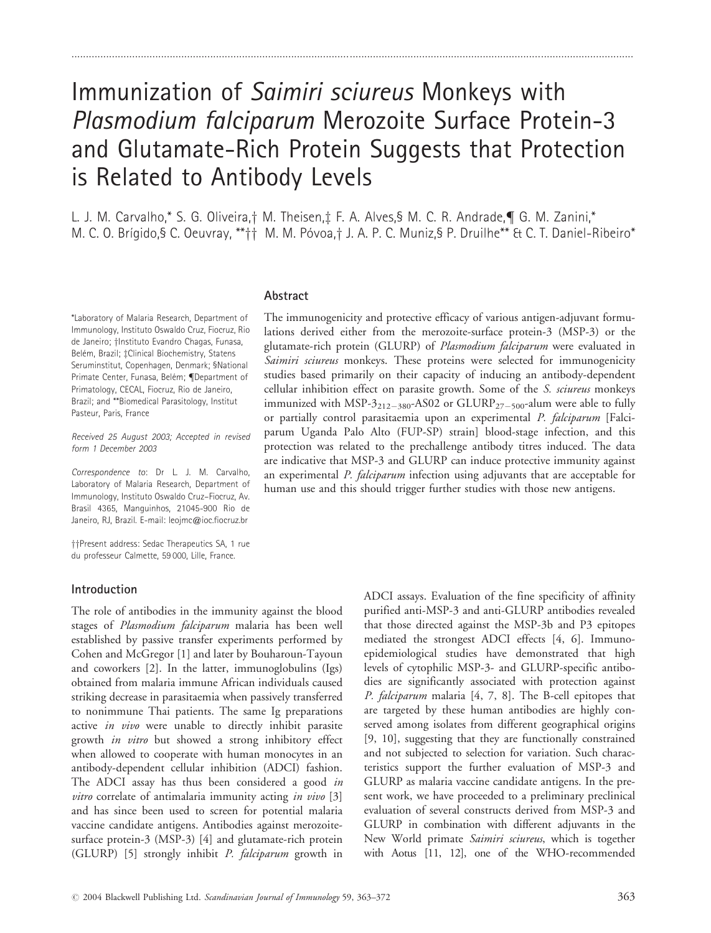# Immunization of Saimiri sciureus Monkeys with Plasmodium falciparum Merozoite Surface Protein-3 and Glutamate-Rich Protein Suggests that Protection is Related to Antibody Levels

..................................................................................................................................................................................................

L. J. M. Carvalho,\* S. G. Oliveira,† M. Theisen,‡ F. A. Alves,§ M. C. R. Andrade,¶ G. M. Zanini,\* M. C. O. Brígido,§ C. Oeuvray, \*\*†† M. M. Póvoa,† J. A. P. C. Muniz,§ P. Druilhe\*\* & C. T. Daniel-Ribeiro\*

#### Abstract

\*Laboratory of Malaria Research, Department of Immunology, Instituto Oswaldo Cruz, Fiocruz, Rio de Janeiro; †Instituto Evandro Chagas, Funasa, Belém, Brazil; ‡Clinical Biochemistry, Statens Seruminstitut, Copenhagen, Denmark; §National Primate Center, Funasa, Belém; ¶Department of Primatology, CECAL, Fiocruz, Rio de Janeiro, Brazil; and \*\*Biomedical Parasitology, Institut Pasteur, Paris, France

Received 25 August 2003; Accepted in revised form 1 December 2003

Correspondence to: Dr L. J. M. Carvalho, Laboratory of Malaria Research, Department of Immunology, Instituto Oswaldo Cruz–Fiocruz, Av. Brasil 4365, Manguinhos, 21045-900 Rio de Janeiro, RJ, Brazil. E-mail: leojmc@ioc.fiocruz.br

††Present address: Sedac Therapeutics SA, 1 rue du professeur Calmette, 59 000, Lille, France.

## Introduction

The role of antibodies in the immunity against the blood stages of Plasmodium falciparum malaria has been well established by passive transfer experiments performed by Cohen and McGregor [1] and later by Bouharoun-Tayoun and coworkers [2]. In the latter, immunoglobulins (Igs) obtained from malaria immune African individuals caused striking decrease in parasitaemia when passively transferred to nonimmune Thai patients. The same Ig preparations active in vivo were unable to directly inhibit parasite growth in vitro but showed a strong inhibitory effect when allowed to cooperate with human monocytes in an antibody-dependent cellular inhibition (ADCI) fashion. The ADCI assay has thus been considered a good in vitro correlate of antimalaria immunity acting in vivo [3] and has since been used to screen for potential malaria vaccine candidate antigens. Antibodies against merozoitesurface protein-3 (MSP-3) [4] and glutamate-rich protein (GLURP) [5] strongly inhibit P. falciparum growth in

The immunogenicity and protective efficacy of various antigen-adjuvant formulations derived either from the merozoite-surface protein-3 (MSP-3) or the glutamate-rich protein (GLURP) of Plasmodium falciparum were evaluated in Saimiri sciureus monkeys. These proteins were selected for immunogenicity studies based primarily on their capacity of inducing an antibody-dependent cellular inhibition effect on parasite growth. Some of the S. sciureus monkeys immunized with MSP- $3_{212-380}$ -AS02 or GLURP<sub>27-500</sub>-alum were able to fully or partially control parasitaemia upon an experimental P. falciparum [Falciparum Uganda Palo Alto (FUP-SP) strain] blood-stage infection, and this protection was related to the prechallenge antibody titres induced. The data are indicative that MSP-3 and GLURP can induce protective immunity against an experimental P. falciparum infection using adjuvants that are acceptable for human use and this should trigger further studies with those new antigens.

> ADCI assays. Evaluation of the fine specificity of affinity purified anti-MSP-3 and anti-GLURP antibodies revealed that those directed against the MSP-3b and P3 epitopes mediated the strongest ADCI effects [4, 6]. Immunoepidemiological studies have demonstrated that high levels of cytophilic MSP-3- and GLURP-specific antibodies are significantly associated with protection against P. falciparum malaria [4, 7, 8]. The B-cell epitopes that are targeted by these human antibodies are highly conserved among isolates from different geographical origins [9, 10], suggesting that they are functionally constrained and not subjected to selection for variation. Such characteristics support the further evaluation of MSP-3 and GLURP as malaria vaccine candidate antigens. In the present work, we have proceeded to a preliminary preclinical evaluation of several constructs derived from MSP-3 and GLURP in combination with different adjuvants in the New World primate Saimiri sciureus, which is together with Aotus [11, 12], one of the WHO-recommended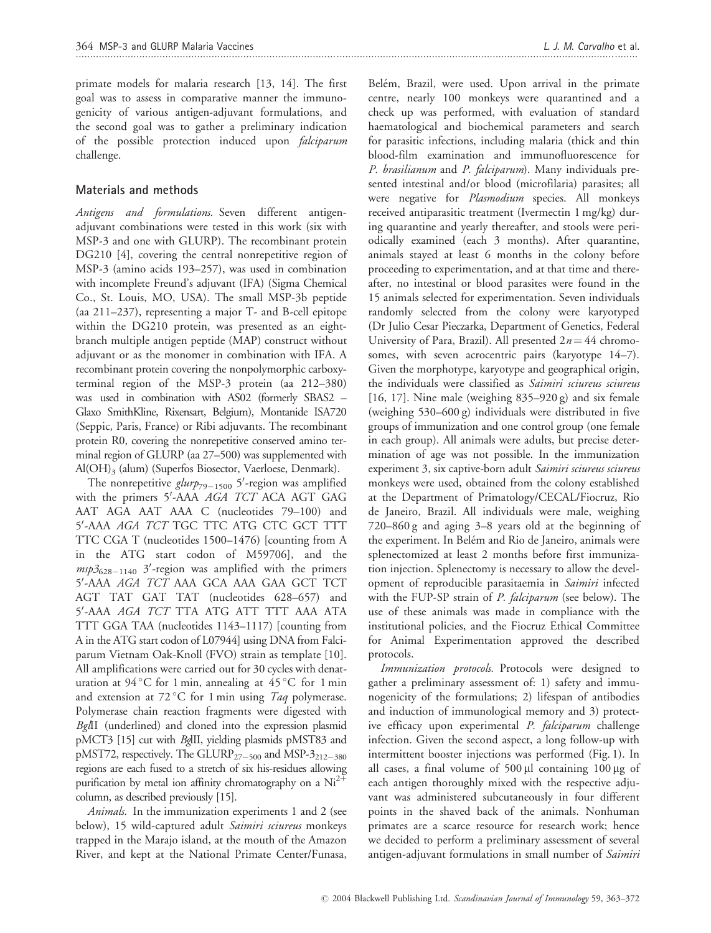primate models for malaria research [13, 14]. The first goal was to assess in comparative manner the immunogenicity of various antigen-adjuvant formulations, and the second goal was to gather a preliminary indication of the possible protection induced upon falciparum challenge.

# Materials and methods

Antigens and formulations. Seven different antigenadjuvant combinations were tested in this work (six with MSP-3 and one with GLURP). The recombinant protein DG210 [4], covering the central nonrepetitive region of MSP-3 (amino acids 193–257), was used in combination with incomplete Freund's adjuvant (IFA) (Sigma Chemical Co., St. Louis, MO, USA). The small MSP-3b peptide (aa 211–237), representing a major T- and B-cell epitope within the DG210 protein, was presented as an eightbranch multiple antigen peptide (MAP) construct without adjuvant or as the monomer in combination with IFA. A recombinant protein covering the nonpolymorphic carboxyterminal region of the MSP-3 protein (aa 212–380) was used in combination with AS02 (formerly SBAS2 – Glaxo SmithKline, Rixensart, Belgium), Montanide ISA720 (Seppic, Paris, France) or Ribi adjuvants. The recombinant protein R0, covering the nonrepetitive conserved amino terminal region of GLURP (aa 27–500) was supplemented with Al(OH)<sub>3</sub> (alum) (Superfos Biosector, Vaerloese, Denmark).

The nonrepetitive  $glurp_{79-1500}$  5'-region was amplified with the primers 5'-AAA AGA TCT ACA AGT GAG AAT AGA AAT AAA C (nucleotides 79–100) and 5'-AAA AGA TCT TGC TTC ATG CTC GCT TTT TTC CGA T (nucleotides 1500–1476) [counting from A in the ATG start codon of M59706], and the  $msp3_{628-1140}$  3'-region was amplified with the primers 5'-AAA AGA TCT AAA GCA AAA GAA GCT TCT AGT TAT GAT TAT (nucleotides 628–657) and 5'-AAA AGA TCT TTA ATG ATT TTT AAA ATA TTT GGA TAA (nucleotides 1143–1117) [counting from A in the ATG start codon of L07944] using DNA from Falciparum Vietnam Oak-Knoll (FVO) strain as template [10]. All amplifications were carried out for 30 cycles with denaturation at  $94^{\circ}$ C for 1 min, annealing at  $45^{\circ}$ C for 1 min and extension at  $72^{\circ}$ C for 1 min using Taq polymerase. Polymerase chain reaction fragments were digested with BglII (underlined) and cloned into the expression plasmid pMCT3 [15] cut with BglII, yielding plasmids pMST83 and pMST72, respectively. The GLURP<sub>27-500</sub> and MSP- $3_{212-380}$ regions are each fused to a stretch of six his-residues allowing purification by metal ion affinity chromatography on a  $Ni<sup>2+</sup>$ column, as described previously [15].

Animals. In the immunization experiments 1 and 2 (see below), 15 wild-captured adult Saimiri sciureus monkeys trapped in the Marajo island, at the mouth of the Amazon River, and kept at the National Primate Center/Funasa,

Belém, Brazil, were used. Upon arrival in the primate centre, nearly 100 monkeys were quarantined and a check up was performed, with evaluation of standard haematological and biochemical parameters and search for parasitic infections, including malaria (thick and thin blood-film examination and immunofluorescence for P. brasilianum and P. falciparum). Many individuals presented intestinal and/or blood (microfilaria) parasites; all were negative for *Plasmodium* species. All monkeys received antiparasitic treatment (Ivermectin 1 mg/kg) during quarantine and yearly thereafter, and stools were periodically examined (each 3 months). After quarantine, animals stayed at least 6 months in the colony before proceeding to experimentation, and at that time and thereafter, no intestinal or blood parasites were found in the 15 animals selected for experimentation. Seven individuals randomly selected from the colony were karyotyped (Dr Julio Cesar Pieczarka, Department of Genetics, Federal University of Para, Brazil). All presented  $2n = 44$  chromosomes, with seven acrocentric pairs (karyotype 14–7). Given the morphotype, karyotype and geographical origin, the individuals were classified as Saimiri sciureus sciureus [16, 17]. Nine male (weighing  $835-920$  g) and six female (weighing 530–600 g) individuals were distributed in five groups of immunization and one control group (one female in each group). All animals were adults, but precise determination of age was not possible. In the immunization experiment 3, six captive-born adult Saimiri sciureus sciureus monkeys were used, obtained from the colony established at the Department of Primatology/CECAL/Fiocruz, Rio de Janeiro, Brazil. All individuals were male, weighing 720–860 g and aging 3–8 years old at the beginning of the experiment. In Belém and Rio de Janeiro, animals were splenectomized at least 2 months before first immunization injection. Splenectomy is necessary to allow the development of reproducible parasitaemia in Saimiri infected with the FUP-SP strain of *P. falciparum* (see below). The use of these animals was made in compliance with the institutional policies, and the Fiocruz Ethical Committee for Animal Experimentation approved the described protocols.

Immunization protocols. Protocols were designed to gather a preliminary assessment of: 1) safety and immunogenicity of the formulations; 2) lifespan of antibodies and induction of immunological memory and 3) protective efficacy upon experimental P. falciparum challenge infection. Given the second aspect, a long follow-up with intermittent booster injections was performed (Fig. 1). In all cases, a final volume of  $500 \mu l$  containing  $100 \mu g$  of each antigen thoroughly mixed with the respective adjuvant was administered subcutaneously in four different points in the shaved back of the animals. Nonhuman primates are a scarce resource for research work; hence we decided to perform a preliminary assessment of several antigen-adjuvant formulations in small number of Saimiri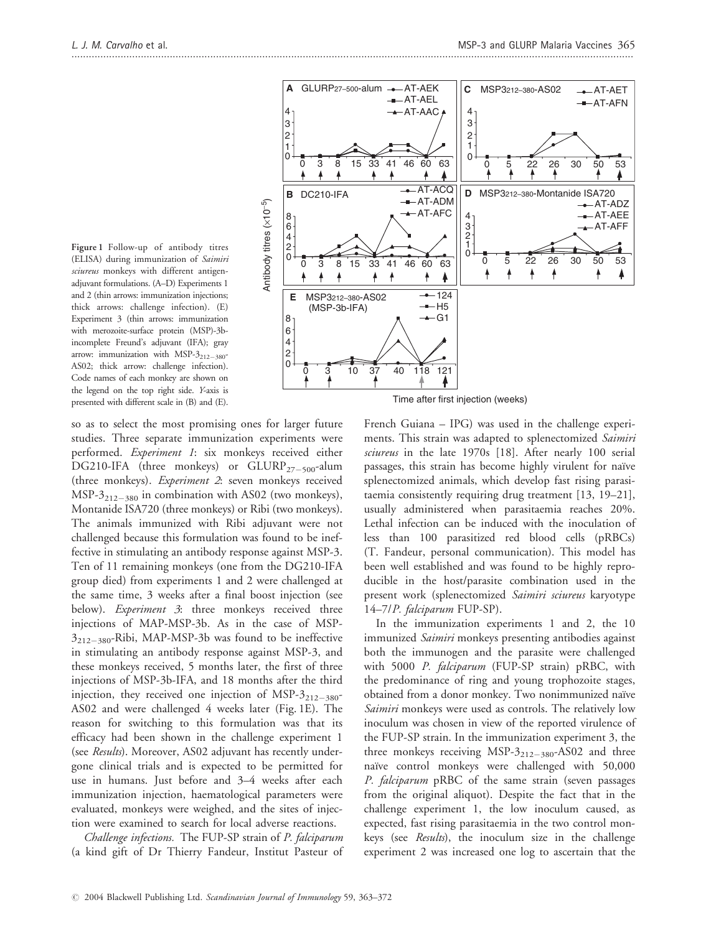

so as to select the most promising ones for larger future studies. Three separate immunization experiments were performed. Experiment 1: six monkeys received either DG210-IFA (three monkeys) or  $GLURP_{27-500}$ -alum (three monkeys). Experiment 2: seven monkeys received MSP- $3_{212-380}$  in combination with AS02 (two monkeys), Montanide ISA720 (three monkeys) or Ribi (two monkeys). The animals immunized with Ribi adjuvant were not challenged because this formulation was found to be ineffective in stimulating an antibody response against MSP-3. Ten of 11 remaining monkeys (one from the DG210-IFA group died) from experiments 1 and 2 were challenged at the same time, 3 weeks after a final boost injection (see below). *Experiment 3*: three monkeys received three injections of MAP-MSP-3b. As in the case of MSP- $3_{212-380}$ -Ribi, MAP-MSP-3b was found to be ineffective in stimulating an antibody response against MSP-3, and these monkeys received, 5 months later, the first of three injections of MSP-3b-IFA, and 18 months after the third injection, they received one injection of MSP- $3_{212-380}$ -AS02 and were challenged 4 weeks later (Fig. 1E). The reason for switching to this formulation was that its efficacy had been shown in the challenge experiment 1 (see Results). Moreover, AS02 adjuvant has recently undergone clinical trials and is expected to be permitted for use in humans. Just before and 3–4 weeks after each immunization injection, haematological parameters were evaluated, monkeys were weighed, and the sites of injection were examined to search for local adverse reactions.

Challenge infections. The FUP-SP strain of P. falciparum (a kind gift of Dr Thierry Fandeur, Institut Pasteur of



Time after first injection (weeks)

French Guiana – IPG) was used in the challenge experiments. This strain was adapted to splenectomized Saimiri sciureus in the late 1970s [18]. After nearly 100 serial passages, this strain has become highly virulent for naïve splenectomized animals, which develop fast rising parasitaemia consistently requiring drug treatment [13, 19–21], usually administered when parasitaemia reaches 20%. Lethal infection can be induced with the inoculation of less than 100 parasitized red blood cells (pRBCs) (T. Fandeur, personal communication). This model has been well established and was found to be highly reproducible in the host/parasite combination used in the present work (splenectomized Saimiri sciureus karyotype 14–7/P. falciparum FUP-SP).

In the immunization experiments 1 and 2, the 10 immunized Saimiri monkeys presenting antibodies against both the immunogen and the parasite were challenged with 5000 P. falciparum (FUP-SP strain) pRBC, with the predominance of ring and young trophozoite stages, obtained from a donor monkey. Two nonimmunized naïve Saimiri monkeys were used as controls. The relatively low inoculum was chosen in view of the reported virulence of the FUP-SP strain. In the immunization experiment 3, the three monkeys receiving MSP- $3_{212-380}$ -AS02 and three naïve control monkeys were challenged with 50,000 P. falciparum pRBC of the same strain (seven passages from the original aliquot). Despite the fact that in the challenge experiment 1, the low inoculum caused, as expected, fast rising parasitaemia in the two control monkeys (see Results), the inoculum size in the challenge experiment 2 was increased one log to ascertain that the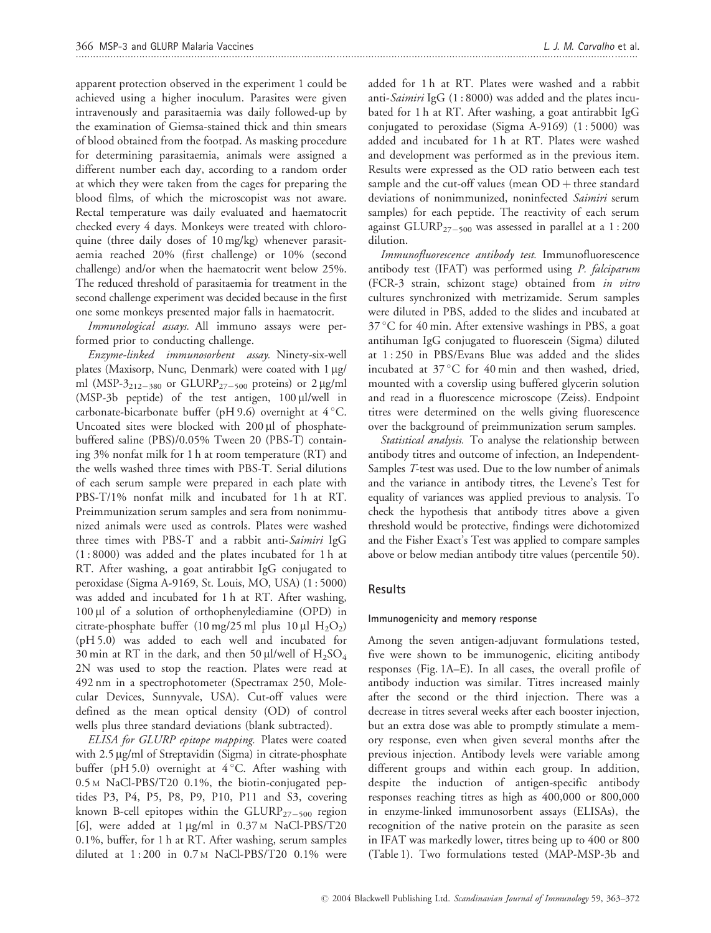apparent protection observed in the experiment 1 could be achieved using a higher inoculum. Parasites were given intravenously and parasitaemia was daily followed-up by the examination of Giemsa-stained thick and thin smears of blood obtained from the footpad. As masking procedure for determining parasitaemia, animals were assigned a different number each day, according to a random order at which they were taken from the cages for preparing the blood films, of which the microscopist was not aware. Rectal temperature was daily evaluated and haematocrit checked every 4 days. Monkeys were treated with chloroquine (three daily doses of 10 mg/kg) whenever parasitaemia reached 20% (first challenge) or 10% (second challenge) and/or when the haematocrit went below 25%. The reduced threshold of parasitaemia for treatment in the second challenge experiment was decided because in the first one some monkeys presented major falls in haematocrit.

Immunological assays. All immuno assays were performed prior to conducting challenge.

Enzyme-linked immunosorbent assay. Ninety-six-well plates (Maxisorp, Nunc, Denmark) were coated with  $1 \mu g$ / ml (MSP- $3_{212-380}$  or GLURP<sub>27-500</sub> proteins) or 2 µg/ml  $(MSP-3b$  peptide) of the test antigen,  $100 \mu l/well$  in carbonate-bicarbonate buffer (pH 9.6) overnight at  $4^{\circ}$ C. Uncoated sites were blocked with  $200 \mu l$  of phosphatebuffered saline (PBS)/0.05% Tween 20 (PBS-T) containing 3% nonfat milk for 1 h at room temperature (RT) and the wells washed three times with PBS-T. Serial dilutions of each serum sample were prepared in each plate with PBS-T/1% nonfat milk and incubated for 1 h at RT. Preimmunization serum samples and sera from nonimmunized animals were used as controls. Plates were washed three times with PBS-T and a rabbit anti-Saimiri IgG (1 : 8000) was added and the plates incubated for 1 h at RT. After washing, a goat antirabbit IgG conjugated to peroxidase (Sigma A-9169, St. Louis, MO, USA) (1 : 5000) was added and incubated for 1 h at RT. After washing, 100 µl of a solution of orthophenylediamine (OPD) in citrate-phosphate buffer (10 mg/25 ml plus 10 µl  $H_2O_2$ ) (pH 5.0) was added to each well and incubated for 30 min at RT in the dark, and then 50 µl/well of  $H_2SO_4$ 2N was used to stop the reaction. Plates were read at 492 nm in a spectrophotometer (Spectramax 250, Molecular Devices, Sunnyvale, USA). Cut-off values were defined as the mean optical density (OD) of control wells plus three standard deviations (blank subtracted).

ELISA for GLURP epitope mapping. Plates were coated with 2.5 µg/ml of Streptavidin (Sigma) in citrate-phosphate buffer (pH 5.0) overnight at  $4^{\circ}$ C. After washing with 0.5 <sup>M</sup> NaCl-PBS/T20 0.1%, the biotin-conjugated peptides P3, P4, P5, P8, P9, P10, P11 and S3, covering known B-cell epitopes within the GLURP $_{27-500}$  region [6], were added at  $1 \mu g/ml$  in  $0.37 \text{ M}$  NaCl-PBS/T20 0.1%, buffer, for 1 h at RT. After washing, serum samples diluted at  $1:200$  in  $0.7 \text{M}$  NaCl-PBS/T20  $0.1\%$  were added for 1 h at RT. Plates were washed and a rabbit anti-Saimiri IgG (1:8000) was added and the plates incubated for 1 h at RT. After washing, a goat antirabbit IgG conjugated to peroxidase (Sigma A-9169) (1 : 5000) was added and incubated for 1 h at RT. Plates were washed and development was performed as in the previous item. Results were expressed as the OD ratio between each test sample and the cut-off values (mean  $OD +$  three standard deviations of nonimmunized, noninfected Saimiri serum samples) for each peptide. The reactivity of each serum against GLURP<sub>27-500</sub> was assessed in parallel at a 1:200

Immunofluorescence antibody test. Immunofluorescence antibody test (IFAT) was performed using P. falciparum (FCR-3 strain, schizont stage) obtained from in vitro cultures synchronized with metrizamide. Serum samples were diluted in PBS, added to the slides and incubated at 37 °C for 40 min. After extensive washings in PBS, a goat antihuman IgG conjugated to fluorescein (Sigma) diluted at 1 : 250 in PBS/Evans Blue was added and the slides incubated at  $37^{\circ}$ C for 40 min and then washed, dried, mounted with a coverslip using buffered glycerin solution and read in a fluorescence microscope (Zeiss). Endpoint titres were determined on the wells giving fluorescence over the background of preimmunization serum samples.

Statistical analysis. To analyse the relationship between antibody titres and outcome of infection, an Independent-Samples T-test was used. Due to the low number of animals and the variance in antibody titres, the Levene's Test for equality of variances was applied previous to analysis. To check the hypothesis that antibody titres above a given threshold would be protective, findings were dichotomized and the Fisher Exact's Test was applied to compare samples above or below median antibody titre values (percentile 50).

## Results

dilution.

#### Immunogenicity and memory response

Among the seven antigen-adjuvant formulations tested, five were shown to be immunogenic, eliciting antibody responses (Fig. 1A–E). In all cases, the overall profile of antibody induction was similar. Titres increased mainly after the second or the third injection. There was a decrease in titres several weeks after each booster injection, but an extra dose was able to promptly stimulate a memory response, even when given several months after the previous injection. Antibody levels were variable among different groups and within each group. In addition, despite the induction of antigen-specific antibody responses reaching titres as high as 400,000 or 800,000 in enzyme-linked immunosorbent assays (ELISAs), the recognition of the native protein on the parasite as seen in IFAT was markedly lower, titres being up to 400 or 800 (Table 1). Two formulations tested (MAP-MSP-3b and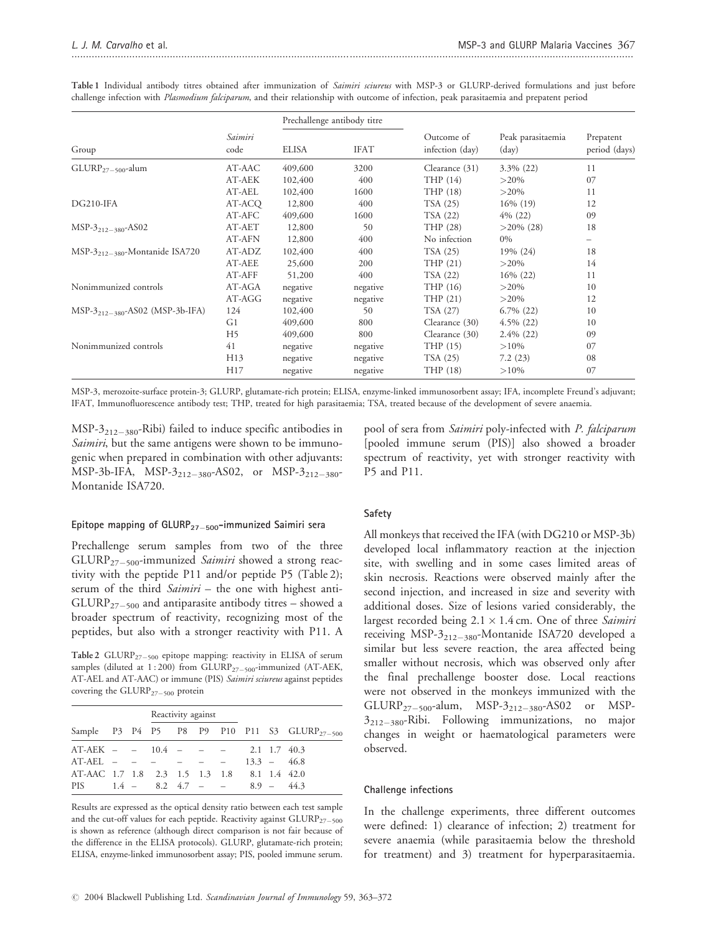|                                      |                 | Prechallenge antibody titre |          |                               |                                     | Prepatent<br>period (days) |
|--------------------------------------|-----------------|-----------------------------|----------|-------------------------------|-------------------------------------|----------------------------|
| Group                                | Saimiri<br>code | <b>ELISA</b><br><b>IFAT</b> |          | Outcome of<br>infection (day) | Peak parasitaemia<br>$\text{(day)}$ |                            |
| $GLURP_{27-500}$ -alum               | AT-AAC          | 409,600                     | 3200     | Clearance (31)                | $3.3\%$ (22)                        | 11                         |
|                                      | AT-AEK          | 102,400                     | 400      | THP (14)                      | $>20\%$                             | 07                         |
|                                      | AT-AEL          | 102,400                     | 1600     | THP (18)                      | $>20\%$                             | 11                         |
| $DG210-IFA$                          | AT-ACO          | 12,800                      | 400      | TSA (25)                      | $16\%$ (19)                         | 12                         |
|                                      | AT-AFC          | 409,600                     | 1600     | TSA (22)                      | $4\%$ (22)                          | 09                         |
| $MSP-3_{212-380} - AS02$             | AT-AET          | 12,800                      | 50       | THP (28)                      | $>20\%$ (28)                        | 18                         |
|                                      | AT-AFN          | 12,800                      | 400      | No infection                  | 0%                                  | $\overline{\phantom{0}}$   |
| $MSP-3212-380$ -Montanide ISA720     | AT-ADZ          | 102,400                     | 400      | TSA (25)                      | 19% (24)                            | 18                         |
|                                      | AT-AEE          | 25,600                      | 200      | THP (21)                      | $>20\%$                             | 14                         |
|                                      | AT-AFF          | 51,200                      | 400      | TSA (22)                      | $16\%$ (22)                         | 11                         |
| Nonimmunized controls                | AT-AGA          | negative                    | negative | THP (16)                      | $>20\%$                             | 10                         |
|                                      | $AT-AGG$        | negative                    | negative | THP (21)                      | $>20\%$                             | 12                         |
| $MSP-3_{212-380}$ -AS02 (MSP-3b-IFA) | 124             | 102,400                     | 50       | TSA (27)                      | $6.7\%$ (22)                        | 10                         |
|                                      | G1              | 409,600                     | 800      | Clearance (30)                | $4.5\%$ (22)                        | 10                         |
|                                      | H <sub>5</sub>  | 409,600                     | 800      | Clearance (30)                | $2.4\%$ (22)                        | 09                         |
| Nonimmunized controls                | 41              | negative                    | negative | THP (15)                      | $>10\%$                             | 07                         |
|                                      | H13             | negative                    | negative | TSA (25)                      | 7.2(23)                             | 08                         |
|                                      | H17             | negative                    | negative | THP (18)                      | $>10\%$                             | 07                         |

Table 1 Individual antibody titres obtained after immunization of Saimiri sciureus with MSP-3 or GLURP-derived formulations and just before challenge infection with Plasmodium falciparum, and their relationship with outcome of infection, peak parasitaemia and prepatent period

MSP-3, merozoite-surface protein-3; GLURP, glutamate-rich protein; ELISA, enzyme-linked immunosorbent assay; IFA, incomplete Freund's adjuvant; IFAT, Immunofluorescence antibody test; THP, treated for high parasitaemia; TSA, treated because of the development of severe anaemia.

 $MSP-3<sub>212-380</sub>$ -Ribi) failed to induce specific antibodies in Saimiri, but the same antigens were shown to be immunogenic when prepared in combination with other adjuvants: MSP-3b-IFA, MSP- $3_{212-380}$ -AS02, or MSP- $3_{212-380}$ -Montanide ISA720.

pool of sera from Saimiri poly-infected with P. falciparum [pooled immune serum (PIS)] also showed a broader spectrum of reactivity, yet with stronger reactivity with P5 and P11.

#### Epitope mapping of  $GLURP_{27-500}$ -immunized Saimiri sera

Prechallenge serum samples from two of the three  $GLURP_{27-500}$ -immunized *Saimiri* showed a strong reactivity with the peptide P11 and/or peptide P5 (Table 2); serum of the third *Saimiri* – the one with highest anti- $GLURP_{27-500}$  and antiparasite antibody titres – showed a broader spectrum of reactivity, recognizing most of the peptides, but also with a stronger reactivity with P11. A

Table 2  $GLURP_{27-500}$  epitope mapping: reactivity in ELISA of serum samples (diluted at  $1:200$ ) from  $GLURP_{27-500}$ -immunized (AT-AEK, AT-AEL and AT-AAC) or immune (PIS) Saimiri sciureus against peptides covering the  $GLURP_{27-500}$  protein

|                                             |  | Reactivity against |  |  |  |  |                                                          |
|---------------------------------------------|--|--------------------|--|--|--|--|----------------------------------------------------------|
|                                             |  |                    |  |  |  |  | Sample P3 P4 P5 P8 P9 P10 P11 S3 GLURP <sub>27-500</sub> |
| $AT-AEK$ - $-$ 10.4 - - - 2.1 1.7 40.3      |  |                    |  |  |  |  |                                                          |
| $AT-AEL = - - - - - -$                      |  |                    |  |  |  |  | $13.3 - 46.8$                                            |
| AT-AAC 1.7 1.8 2.3 1.5 1.3 1.8 8.1 1.4 42.0 |  |                    |  |  |  |  |                                                          |
| PIS $1.4 - 8.2 + 4.7 - - 8.9 - 44.3$        |  |                    |  |  |  |  |                                                          |

Results are expressed as the optical density ratio between each test sample and the cut-off values for each peptide. Reactivity against  $GLURP_{27-500}$ is shown as reference (although direct comparison is not fair because of the difference in the ELISA protocols). GLURP, glutamate-rich protein; ELISA, enzyme-linked immunosorbent assay; PIS, pooled immune serum.

### Safety

All monkeys that received the IFA (with DG210 or MSP-3b) developed local inflammatory reaction at the injection site, with swelling and in some cases limited areas of skin necrosis. Reactions were observed mainly after the second injection, and increased in size and severity with additional doses. Size of lesions varied considerably, the largest recorded being  $2.1 \times 1.4$  cm. One of three Saimiri receiving  $MSP-3_{212-380}$ -Montanide ISA720 developed a similar but less severe reaction, the area affected being smaller without necrosis, which was observed only after the final prechallenge booster dose. Local reactions were not observed in the monkeys immunized with the  $GLURP_{27-500}$ -alum,  $MSP-3_{212-380}$ -AS02 or MSP- $3_{212-380}$ -Ribi. Following immunizations, no major changes in weight or haematological parameters were observed.

### Challenge infections

In the challenge experiments, three different outcomes were defined: 1) clearance of infection; 2) treatment for severe anaemia (while parasitaemia below the threshold for treatment) and 3) treatment for hyperparasitaemia.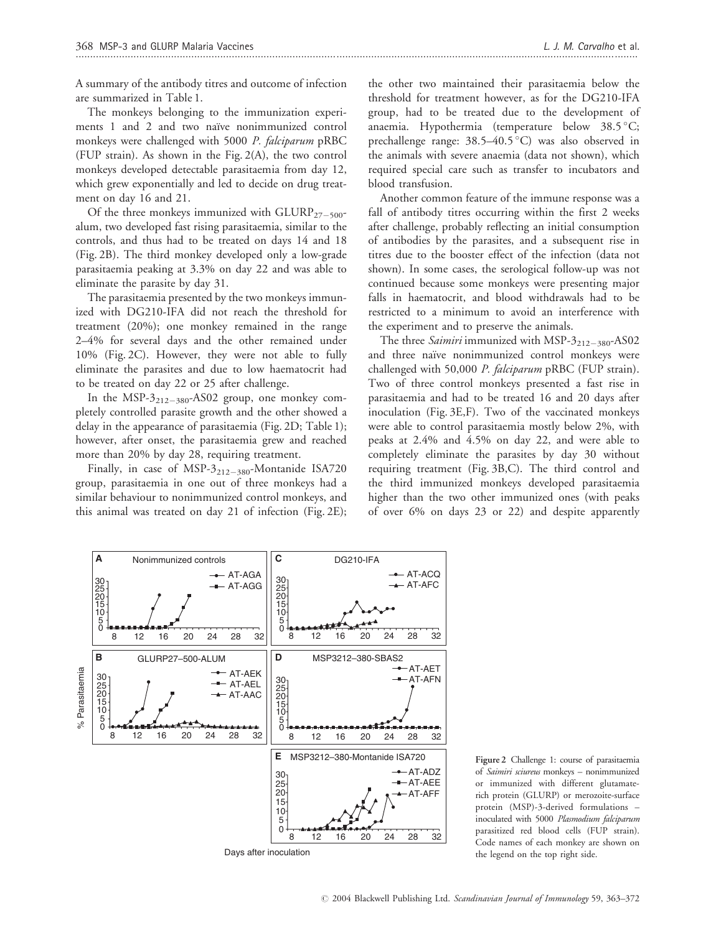A summary of the antibody titres and outcome of infection are summarized in Table 1.

The monkeys belonging to the immunization experiments 1 and 2 and two naïve nonimmunized control monkeys were challenged with 5000 P. falciparum pRBC (FUP strain). As shown in the Fig. 2(A), the two control monkeys developed detectable parasitaemia from day 12, which grew exponentially and led to decide on drug treatment on day 16 and 21.

Of the three monkeys immunized with  $GLURP_{27-500}$ alum, two developed fast rising parasitaemia, similar to the controls, and thus had to be treated on days 14 and 18 (Fig. 2B). The third monkey developed only a low-grade parasitaemia peaking at 3.3% on day 22 and was able to eliminate the parasite by day 31.

The parasitaemia presented by the two monkeys immunized with DG210-IFA did not reach the threshold for treatment (20%); one monkey remained in the range 2–4% for several days and the other remained under 10% (Fig. 2C). However, they were not able to fully eliminate the parasites and due to low haematocrit had to be treated on day 22 or 25 after challenge.

In the MSP- $3_{212-380}$ -AS02 group, one monkey completely controlled parasite growth and the other showed a delay in the appearance of parasitaemia (Fig. 2D; Table 1); however, after onset, the parasitaemia grew and reached more than 20% by day 28, requiring treatment.

Finally, in case of MSP- $3_{212-380}$ -Montanide ISA720 group, parasitaemia in one out of three monkeys had a similar behaviour to nonimmunized control monkeys, and this animal was treated on day 21 of infection (Fig. 2E); the other two maintained their parasitaemia below the threshold for treatment however, as for the DG210-IFA group, had to be treated due to the development of anaemia. Hypothermia (temperature below 38.5 °C; prechallenge range: 38.5-40.5 °C) was also observed in the animals with severe anaemia (data not shown), which required special care such as transfer to incubators and blood transfusion.

Another common feature of the immune response was a fall of antibody titres occurring within the first 2 weeks after challenge, probably reflecting an initial consumption of antibodies by the parasites, and a subsequent rise in titres due to the booster effect of the infection (data not shown). In some cases, the serological follow-up was not continued because some monkeys were presenting major falls in haematocrit, and blood withdrawals had to be restricted to a minimum to avoid an interference with the experiment and to preserve the animals.

The three *Saimiri* immunized with MSP- $3_{212-380}$ -AS02 and three naïve nonimmunized control monkeys were challenged with 50,000 P. falciparum pRBC (FUP strain). Two of three control monkeys presented a fast rise in parasitaemia and had to be treated 16 and 20 days after inoculation (Fig. 3E,F). Two of the vaccinated monkeys were able to control parasitaemia mostly below 2%, with peaks at 2.4% and 4.5% on day 22, and were able to completely eliminate the parasites by day 30 without requiring treatment (Fig. 3B,C). The third control and the third immunized monkeys developed parasitaemia higher than the two other immunized ones (with peaks of over 6% on days 23 or 22) and despite apparently



of Saimiri sciureus monkeys – nonimmunized or immunized with different glutamaterich protein (GLURP) or merozoite-surface protein (MSP)-3-derived formulations – inoculated with 5000 Plasmodium falciparum parasitized red blood cells (FUP strain). Code names of each monkey are shown on the legend on the top right side.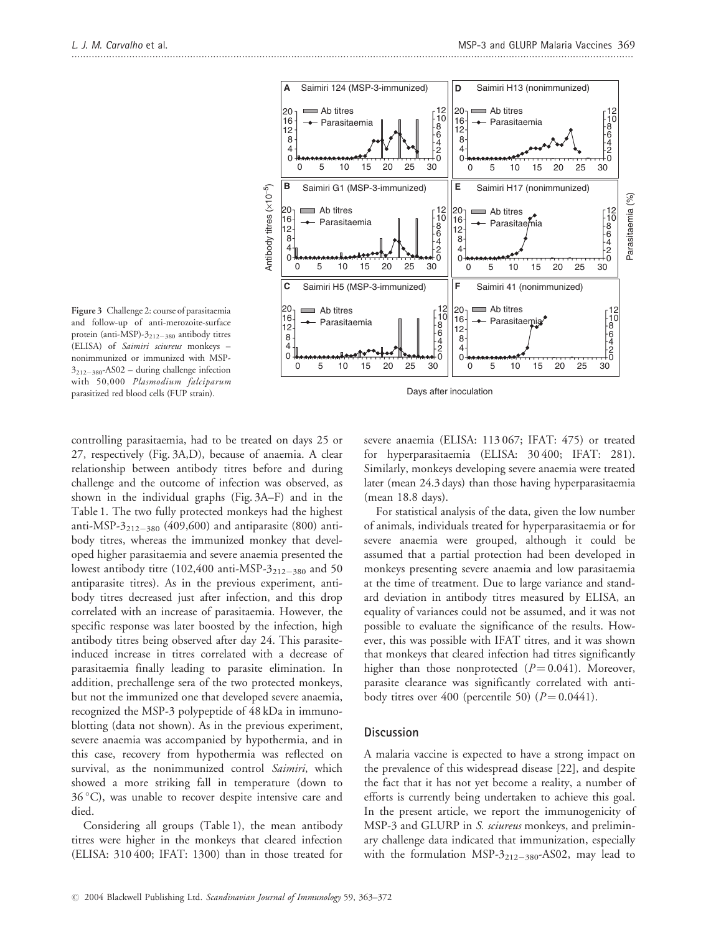

Figure 3 Challenge 2: course of parasitaemia and follow-up of anti-merozoite-surface protein (anti-MSP)- $3_{212-380}$  antibody titres (ELISA) of Saimiri sciureus monkeys – nonimmunized or immunized with MSP- $3_{212-380}$ -AS02 – during challenge infection with 50,000 Plasmodium falciparum parasitized red blood cells (FUP strain).

controlling parasitaemia, had to be treated on days 25 or 27, respectively (Fig. 3A,D), because of anaemia. A clear relationship between antibody titres before and during challenge and the outcome of infection was observed, as shown in the individual graphs (Fig. 3A–F) and in the Table 1. The two fully protected monkeys had the highest anti-MSP-3<sub>212-380</sub> (409,600) and antiparasite (800) antibody titres, whereas the immunized monkey that developed higher parasitaemia and severe anaemia presented the lowest antibody titre (102,400 anti-MSP- $3_{212-380}$  and 50 antiparasite titres). As in the previous experiment, antibody titres decreased just after infection, and this drop correlated with an increase of parasitaemia. However, the specific response was later boosted by the infection, high antibody titres being observed after day 24. This parasiteinduced increase in titres correlated with a decrease of parasitaemia finally leading to parasite elimination. In addition, prechallenge sera of the two protected monkeys, but not the immunized one that developed severe anaemia, recognized the MSP-3 polypeptide of 48 kDa in immunoblotting (data not shown). As in the previous experiment, severe anaemia was accompanied by hypothermia, and in this case, recovery from hypothermia was reflected on survival, as the nonimmunized control Saimiri, which showed a more striking fall in temperature (down to 36 °C), was unable to recover despite intensive care and died.

Considering all groups (Table 1), the mean antibody titres were higher in the monkeys that cleared infection (ELISA: 310 400; IFAT: 1300) than in those treated for

severe anaemia (ELISA: 113 067; IFAT: 475) or treated for hyperparasitaemia (ELISA: 30 400; IFAT: 281). Similarly, monkeys developing severe anaemia were treated later (mean 24.3 days) than those having hyperparasitaemia (mean 18.8 days).

For statistical analysis of the data, given the low number of animals, individuals treated for hyperparasitaemia or for severe anaemia were grouped, although it could be assumed that a partial protection had been developed in monkeys presenting severe anaemia and low parasitaemia at the time of treatment. Due to large variance and standard deviation in antibody titres measured by ELISA, an equality of variances could not be assumed, and it was not possible to evaluate the significance of the results. However, this was possible with IFAT titres, and it was shown that monkeys that cleared infection had titres significantly higher than those nonprotected  $(P = 0.041)$ . Moreover, parasite clearance was significantly correlated with antibody titres over 400 (percentile 50)  $(P = 0.0441)$ .

## **Discussion**

A malaria vaccine is expected to have a strong impact on the prevalence of this widespread disease [22], and despite the fact that it has not yet become a reality, a number of efforts is currently being undertaken to achieve this goal. In the present article, we report the immunogenicity of MSP-3 and GLURP in S. sciureus monkeys, and preliminary challenge data indicated that immunization, especially with the formulation MSP- $3_{212-380}$ -AS02, may lead to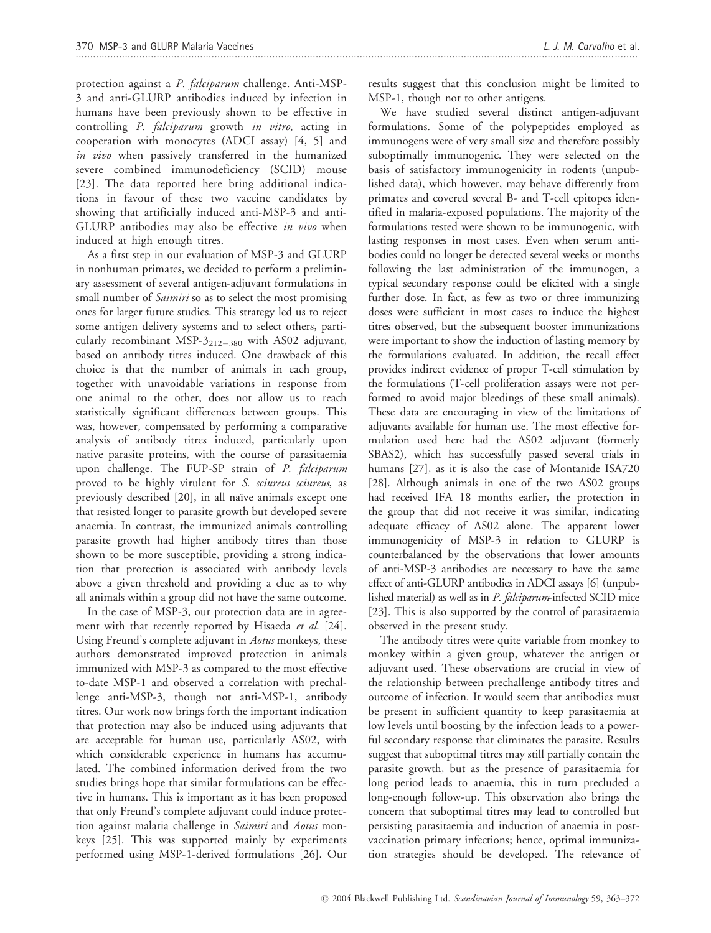protection against a P. falciparum challenge. Anti-MSP-3 and anti-GLURP antibodies induced by infection in humans have been previously shown to be effective in controlling *P. falciparum* growth *in vitro*, acting in cooperation with monocytes (ADCI assay) [4, 5] and in vivo when passively transferred in the humanized severe combined immunodeficiency (SCID) mouse [23]. The data reported here bring additional indications in favour of these two vaccine candidates by showing that artificially induced anti-MSP-3 and anti-GLURP antibodies may also be effective in vivo when induced at high enough titres.

As a first step in our evaluation of MSP-3 and GLURP in nonhuman primates, we decided to perform a preliminary assessment of several antigen-adjuvant formulations in small number of *Saimiri* so as to select the most promising ones for larger future studies. This strategy led us to reject some antigen delivery systems and to select others, particularly recombinant MSP- $3_{212-380}$  with AS02 adjuvant, based on antibody titres induced. One drawback of this choice is that the number of animals in each group, together with unavoidable variations in response from one animal to the other, does not allow us to reach statistically significant differences between groups. This was, however, compensated by performing a comparative analysis of antibody titres induced, particularly upon native parasite proteins, with the course of parasitaemia upon challenge. The FUP-SP strain of P. falciparum proved to be highly virulent for S. sciureus sciureus, as previously described [20], in all naïve animals except one that resisted longer to parasite growth but developed severe anaemia. In contrast, the immunized animals controlling parasite growth had higher antibody titres than those shown to be more susceptible, providing a strong indication that protection is associated with antibody levels above a given threshold and providing a clue as to why all animals within a group did not have the same outcome.

In the case of MSP-3, our protection data are in agreement with that recently reported by Hisaeda et al. [24]. Using Freund's complete adjuvant in *Aotus* monkeys, these authors demonstrated improved protection in animals immunized with MSP-3 as compared to the most effective to-date MSP-1 and observed a correlation with prechallenge anti-MSP-3, though not anti-MSP-1, antibody titres. Our work now brings forth the important indication that protection may also be induced using adjuvants that are acceptable for human use, particularly AS02, with which considerable experience in humans has accumulated. The combined information derived from the two studies brings hope that similar formulations can be effective in humans. This is important as it has been proposed that only Freund's complete adjuvant could induce protection against malaria challenge in Saimiri and Aotus monkeys [25]. This was supported mainly by experiments performed using MSP-1-derived formulations [26]. Our results suggest that this conclusion might be limited to MSP-1, though not to other antigens.

We have studied several distinct antigen-adjuvant formulations. Some of the polypeptides employed as immunogens were of very small size and therefore possibly suboptimally immunogenic. They were selected on the basis of satisfactory immunogenicity in rodents (unpublished data), which however, may behave differently from primates and covered several B- and T-cell epitopes identified in malaria-exposed populations. The majority of the formulations tested were shown to be immunogenic, with lasting responses in most cases. Even when serum antibodies could no longer be detected several weeks or months following the last administration of the immunogen, a typical secondary response could be elicited with a single further dose. In fact, as few as two or three immunizing doses were sufficient in most cases to induce the highest titres observed, but the subsequent booster immunizations were important to show the induction of lasting memory by the formulations evaluated. In addition, the recall effect provides indirect evidence of proper T-cell stimulation by the formulations (T-cell proliferation assays were not performed to avoid major bleedings of these small animals). These data are encouraging in view of the limitations of adjuvants available for human use. The most effective formulation used here had the AS02 adjuvant (formerly SBAS2), which has successfully passed several trials in humans [27], as it is also the case of Montanide ISA720 [28]. Although animals in one of the two AS02 groups had received IFA 18 months earlier, the protection in the group that did not receive it was similar, indicating adequate efficacy of AS02 alone. The apparent lower immunogenicity of MSP-3 in relation to GLURP is counterbalanced by the observations that lower amounts of anti-MSP-3 antibodies are necessary to have the same effect of anti-GLURP antibodies in ADCI assays [6] (unpublished material) as well as in P. falciparum-infected SCID mice [23]. This is also supported by the control of parasitaemia observed in the present study.

The antibody titres were quite variable from monkey to monkey within a given group, whatever the antigen or adjuvant used. These observations are crucial in view of the relationship between prechallenge antibody titres and outcome of infection. It would seem that antibodies must be present in sufficient quantity to keep parasitaemia at low levels until boosting by the infection leads to a powerful secondary response that eliminates the parasite. Results suggest that suboptimal titres may still partially contain the parasite growth, but as the presence of parasitaemia for long period leads to anaemia, this in turn precluded a long-enough follow-up. This observation also brings the concern that suboptimal titres may lead to controlled but persisting parasitaemia and induction of anaemia in postvaccination primary infections; hence, optimal immunization strategies should be developed. The relevance of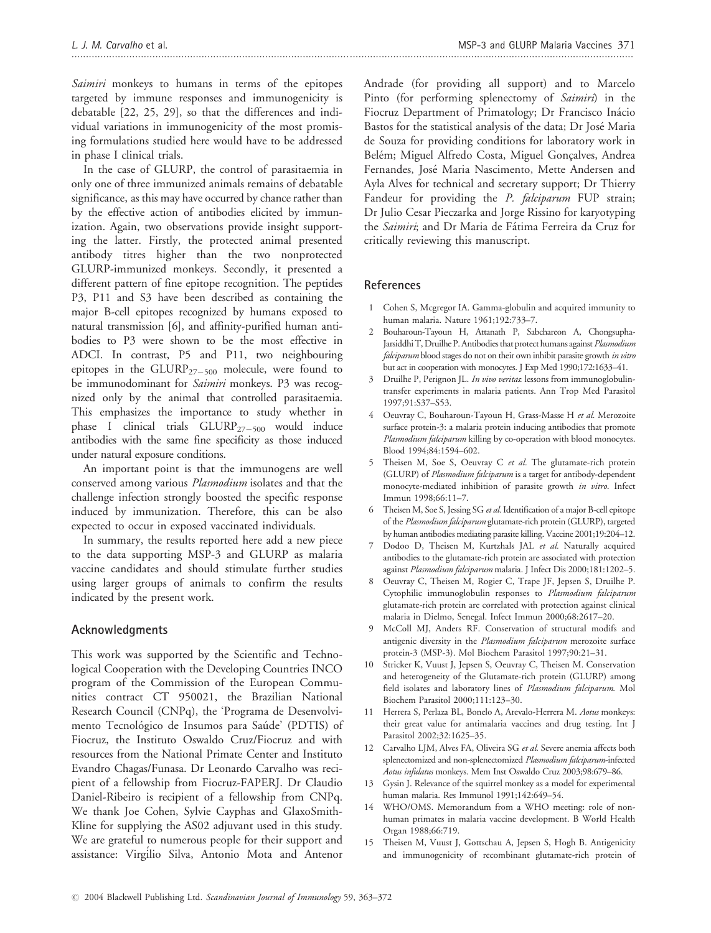Saimiri monkeys to humans in terms of the epitopes targeted by immune responses and immunogenicity is debatable [22, 25, 29], so that the differences and individual variations in immunogenicity of the most promising formulations studied here would have to be addressed in phase I clinical trials.

In the case of GLURP, the control of parasitaemia in only one of three immunized animals remains of debatable significance, as this may have occurred by chance rather than by the effective action of antibodies elicited by immunization. Again, two observations provide insight supporting the latter. Firstly, the protected animal presented antibody titres higher than the two nonprotected GLURP-immunized monkeys. Secondly, it presented a different pattern of fine epitope recognition. The peptides P3, P11 and S3 have been described as containing the major B-cell epitopes recognized by humans exposed to natural transmission [6], and affinity-purified human antibodies to P3 were shown to be the most effective in ADCI. In contrast, P5 and P11, two neighbouring epitopes in the  $GLURP_{27-500}$  molecule, were found to be immunodominant for Saimiri monkeys. P3 was recognized only by the animal that controlled parasitaemia. This emphasizes the importance to study whether in phase I clinical trials  $GLURP_{27-500}$  would induce antibodies with the same fine specificity as those induced under natural exposure conditions.

An important point is that the immunogens are well conserved among various Plasmodium isolates and that the challenge infection strongly boosted the specific response induced by immunization. Therefore, this can be also expected to occur in exposed vaccinated individuals.

In summary, the results reported here add a new piece to the data supporting MSP-3 and GLURP as malaria vaccine candidates and should stimulate further studies using larger groups of animals to confirm the results indicated by the present work.

# Acknowledgments

This work was supported by the Scientific and Technological Cooperation with the Developing Countries INCO program of the Commission of the European Communities contract CT 950021, the Brazilian National Research Council (CNPq), the 'Programa de Desenvolvimento Tecnológico de Insumos para Saúde' (PDTIS) of Fiocruz, the Instituto Oswaldo Cruz/Fiocruz and with resources from the National Primate Center and Instituto Evandro Chagas/Funasa. Dr Leonardo Carvalho was recipient of a fellowship from Fiocruz-FAPERJ. Dr Claudio Daniel-Ribeiro is recipient of a fellowship from CNPq. We thank Joe Cohen, Sylvie Cayphas and GlaxoSmith-Kline for supplying the AS02 adjuvant used in this study. We are grateful to numerous people for their support and assistance: Virgilio Silva, Antonio Mota and Antenor

Andrade (for providing all support) and to Marcelo Pinto (for performing splenectomy of Saimiri) in the Fiocruz Department of Primatology; Dr Francisco Inácio Bastos for the statistical analysis of the data; Dr José Maria de Souza for providing conditions for laboratory work in Belém; Miguel Alfredo Costa, Miguel Gonçalves, Andrea Fernandes, José Maria Nascimento, Mette Andersen and Ayla Alves for technical and secretary support; Dr Thierry Fandeur for providing the *P. falciparum* FUP strain; Dr Julio Cesar Pieczarka and Jorge Rissino for karyotyping the Saimiri; and Dr Maria de Fátima Ferreira da Cruz for critically reviewing this manuscript.

## References

- 1 Cohen S, Mcgregor IA. Gamma-globulin and acquired immunity to human malaria. Nature 1961;192:733–7.
- 2 Bouharoun-Tayoun H, Attanath P, Sabchareon A, Chongsupha-Jarsiddhi T, Druilhe P. Antibodies that protect humans against Plasmodium falciparum blood stages do not on their own inhibit parasite growth in vitro but act in cooperation with monocytes. J Exp Med 1990;172:1633–41.
- 3 Druilhe P, Perignon JL. In vivo veritas: lessons from immunoglobulintransfer experiments in malaria patients. Ann Trop Med Parasitol 1997;91:S37–S53.
- 4 Oeuvray C, Bouharoun-Tayoun H, Grass-Masse H et al. Merozoite surface protein-3: a malaria protein inducing antibodies that promote Plasmodium falciparum killing by co-operation with blood monocytes. Blood 1994;84:1594–602.
- 5 Theisen M, Soe S, Oeuvray C et al. The glutamate-rich protein (GLURP) of *Plasmodium falciparum* is a target for antibody-dependent monocyte-mediated inhibition of parasite growth in vitro. Infect Immun 1998;66:11–7.
- 6 Theisen M, Soe S, Jessing SG et al. Identification of a major B-cell epitope of the Plasmodium falciparum glutamate-rich protein (GLURP), targeted by human antibodies mediating parasite killing. Vaccine 2001;19:204–12.
- 7 Dodoo D, Theisen M, Kurtzhals JAL et al. Naturally acquired antibodies to the glutamate-rich protein are associated with protection against Plasmodium falciparum malaria. J Infect Dis 2000;181:1202-5.
- 8 Oeuvray C, Theisen M, Rogier C, Trape JF, Jepsen S, Druilhe P. Cytophilic immunoglobulin responses to Plasmodium falciparum glutamate-rich protein are correlated with protection against clinical malaria in Dielmo, Senegal. Infect Immun 2000;68:2617–20.
- 9 McColl MJ, Anders RF. Conservation of structural modifs and antigenic diversity in the Plasmodium falciparum merozoite surface protein-3 (MSP-3). Mol Biochem Parasitol 1997;90:21–31.
- 10 Stricker K, Vuust J, Jepsen S, Oeuvray C, Theisen M. Conservation and heterogeneity of the Glutamate-rich protein (GLURP) among field isolates and laboratory lines of Plasmodium falciparum. Mol Biochem Parasitol 2000;111:123–30.
- 11 Herrera S, Perlaza BL, Bonelo A, Arevalo-Herrera M. Aotus monkeys: their great value for antimalaria vaccines and drug testing. Int J Parasitol 2002;32:1625–35.
- 12 Carvalho LJM, Alves FA, Oliveira SG et al. Severe anemia affects both splenectomized and non-splenectomized Plasmodium falciparum-infected Aotus infulatus monkeys. Mem Inst Oswaldo Cruz 2003;98:679-86.
- 13 Gysin J. Relevance of the squirrel monkey as a model for experimental human malaria. Res Immunol 1991;142:649–54.
- 14 WHO/OMS. Memorandum from a WHO meeting: role of nonhuman primates in malaria vaccine development. B World Health Organ 1988;66:719.
- 15 Theisen M, Vuust J, Gottschau A, Jepsen S, Hogh B. Antigenicity and immunogenicity of recombinant glutamate-rich protein of